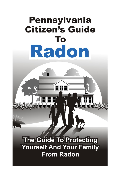**HHH** 

## The Guide To Protecting **Yourself And Your Family From Radon**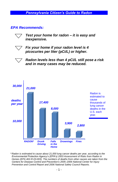*EPA Recommends:*



*Test your home for radon – it is easy and inexpensive.*



*Fix your home if your radon level is 4 picocuries per liter (pCi/L) or higher.*



*Radon levels less than 4 pCi/L still pose a risk and in many cases may be reduced.*



*\* Radon is estimated to cause about 21,000 lung cancer deaths per year, according to the Environmental Protection Agency's (EPA's) 2003 Assessment of Risks from Radon in Homes (EPA 402-R-03-003). The numbers of deaths from other causes are taken from the Centers for Disease Control and Prevention's 2005–2006 National Center for Injury Prevention and Control Report and 2006 National Safety Council Reports.*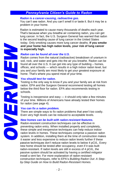#### *Radon is a cancer-causing, radioactive gas.*

You can't see radon. And you can't smell it or taste it. But it may be a problem in your home.

Radon is estimated to cause many thousands of deaths each year. That's because when you breathe air containing radon, you can get lung cancer. In fact, the U.S. Surgeon General has warned that radon is the second leading cause of lung cancer in the United States today. Only smoking causes more lung cancer deaths. **If you smoke and your home has high radon levels, your risk of lung cancer is especially high.**

#### *Radon can be found all over the U.S.*

Radon comes from the natural (radioactive) breakdown of uranium in soil, rock, and water and gets into the air you breathe. Radon can be found all over the U.S. It can get into any type of building – homes, offices, and schools — which results in a high indoor radon level, but you and your family are most likely to get your greatest exposure at home. That's where you spend most of your time.

#### *You should test for radon.*

Testing is the only way to know if you and your family are at risk from radon. EPA and the Surgeon General recommend testing all homes below the third floor for radon. EPA also recommends testing in schools.

Testing is inexpensive and easy — it should only take a few minutes of your time. Millions of Americans have already tested their homes for radon (see page 4).

#### *You can fix a radon problem.*

There are simple ways to fix radon problems that aren't too costly. Even very high levels can be reduced to acceptable levels.

#### *New homes can be built with radon-resistant features.*

Radon-resistant construction techniques can be effective in preventing radon entry. When installed properly and completely, these simple and inexpensive techniques can help reduce indoor radon levels in homes. These techniques comprise a passive radon system. In addition, installing them at the time of construction makes it easier and less expensive to reduce radon levels further if these passive techniques don't reduce radon levels to below 4 pCi/L. Every new home should be tested after occupancy, even if it was built radon-resistant. If radon levels are still in excess of 4 pCi/L, the passive system should be activated by having a certified mitigator install a vent fan. For more explanation of radon-resistant construction techniques, refer to EPA's *Building Radon Out: A Stepby-Step Guide on How to Build Radon-Resistant Homes.*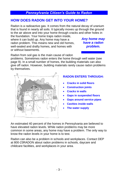## **HOW DOES RADON GET INTO YOUR HOME?**

Radon is a radioactive gas. It comes from the natural decay of uranium that is found in nearly all soils. It typically moves up through the ground to the air above and into your home through cracks and other holes in

the foundation. Your home traps radon inside, where it can build up. Any home may have a radon problem. This means new and old homes, well-sealed and drafty homes, and homes with or without basements.

*Any home may have a radon problem.*

Radon from soil gas is the main cause of radon

problems. Sometimes radon enters the home through well water (see page 9). In a small number of homes, the building materials can also give off radon. However, building materials rarely cause radon problems by themselves.



## **RADON ENTERS THROUGH:**

- **Cracks in solid floors**
- **Construction joints**
- **Cracks in walls**
- **Gaps in suspended floors**
- **Gaps around service pipes**
- **Cavities inside walls**
- **The water supply**

An estimated 40 percent of the homes in Pennsylvania are believed to have elevated radon levels. While radon problems may be more common in some areas, any home may have a problem. The only way to know the radon levels in your home is to test.

Radon can also be a problem in schools and workplaces. Contact DEP at 800-23RADON about radon problems in schools, daycare and childcare facilities, and workplaces in your area.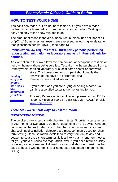## **HOW TO TEST YOUR HOME**

You can't see radon, but it's not hard to find out if you have a radon problem in your home. All you need to do is test for radon. Testing is easy and only takes a few minutes to do.

The amount of radon in the air is measured in "picocuries per liter of air," or "pCi/L." Sometimes test results are expressed in working levels rather than picocuries per liter (pCi/L) (see page 6).

### **Pennsylvania law requires that all third-party persons performing radon testing, mitigation, or laboratory analysis in Pennsylvania be certified.**

An exemption to this law allows the homeowner or occupant to test his or her own home without being certified. Test kits may be purchased from a Pennsylvania-certified laboratory or a local home center or hardware

| <b>Testing is</b><br>easy and<br>should        | store. The homeowner or occupant should verify that<br>analysis of the device is performed by a<br>Pennsylvania-certified laboratory. |
|------------------------------------------------|---------------------------------------------------------------------------------------------------------------------------------------|
| only take a<br>few<br>minutes of<br>vour time. | If you prefer, or if you are buying or selling a home, you<br>can hire a certified tester to do the testing for you.                  |
|                                                | To verify Pennsylvania certification, please contact DEP's<br>Radon Division at 800-237-2366 (800-23RADON) or visit                   |

## *There are Two General Ways to Test for Radon*

[www.dep.pa.gov.](http://www.dep.pa.gov/)

## *SHORT-TERM TESTING:*

The quickest way to test is with short-term tests. Short-term tests remain in your home for two days to 90 days, depending on the device. Charcoal canisters, alpha track, electret ion chamber, continuous monitors, and charcoal liquid scintillation detectors are most commonly used for shortterm testing. Because radon levels tend to vary from day to day and season to season, a short-term test is less likely than a long-term test to tell you your year-round average radon level. If you need results quickly, however, a short-term test followed by a second short-term test may be used to decide whether to fix your home (see also page 8 under Home Sales).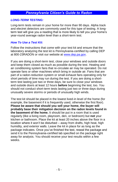## *LONG-TERM TESTING:*

Long-term tests remain in your home for more than 90 days. Alpha track and electret detectors are commonly used for this type of testing. A longterm test will give you a reading that is more likely to tell you your home's year-round average radon level than a short-term test.

## *How To Use a Test Kit:*

Follow the instructions that come with your test kit and ensure that the laboratory analyzing the test kit is Pennsylvania-certified by calling DEP at 800-23RADON or visit our website at [www.dep.pa.gov.](http://www.dep.pa.gov/)

If you are doing a short-term test, close your windows and outside doors and keep them closed as much as possible during the test. Heating and air conditioning system fans that re-circulate air may be operated. Do not operate fans or other machines which bring in outside air. Fans that are part of a radon-reduction system or small exhaust fans operating only for short periods of time may run during the test. If you are doing a shortterm test lasting just two or three days, be sure to close your windows and outside doors at least 12 hours **before** beginning the test, too. You should not conduct short-term tests lasting just two or three days during unusually severe storms or periods of unusually high winds.

The test kit should be placed in the lowest lived-in level of the home (for example, the basement if it is frequently used, otherwise the first floor). **Please be aware that should you sell your home, the buyer will probably base their mitigation decision on the radon levels found in the basement of the home.** It should be put in a room that is used regularly (like a living room, playroom, den, or bedroom) but **not** your kitchen or bathroom. Place the kit at least 20 inches above the floor in a location where it won't be disturbed – away from drafts, high heat, high humidity, and exterior walls. Leave the kit in place for as long as the package indicates. Once you've finished the test, reseal the package and send it to the Pennsylvania-certified lab specified on the package right away for analysis. You should receive your test results within a few weeks.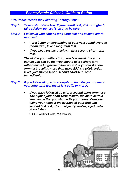- *EPA Recommends the Following Testing Steps:*
- *Step 1. Take a short-term test. If your result is 4 pCi/L or higher\*, take a follow-up test (Step 2) to be sure.*
- *Step 2. Follow up with either a long-term test or a second shortterm test:*
	- *For a better understanding of your year-round average radon level, take a long-term test.*
	- *If you need results quickly, take a second short-term test.*

*The higher your initial short-term test result, the more certain you can be that you should take a short-term rather than a long-term follow up test. If your first shortterm test result is more than twice EPA's 4 pCi/L action level, you should take a second short-term test immediately.*

#### *Step 3. If you followed up with a long-term test: Fix your home if your long-term test result is 4 pCi/L or more\*.*

 *If you have followed up with a second short-term test: The higher your short-term results, the more certain you can be that you should fix your home. Consider fixing your home if the average of your first and second test is 4 pCi/L or higher\* (see also page 8 under Home Sales).*

\* 0.016 Working Levels (WL) or higher.

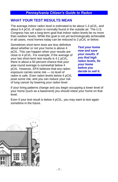## **WHAT YOUR TEST RESULTS MEAN**

The average indoor radon level is estimated to be about 1.3 pCi/L, and about 0.4 pCi/L of radon is normally found in the outside air. The U.S. Congress has set a long-term goal that indoor radon levels be no more than outdoor levels. While this goal is not yet technologically achievable in all cases, most homes today can be reduced to 2 pCi/L or below.

Sometimes short-term tests are less definitive about whether or not your home is above 4 pCi/L. This can happen when your results are close to 4 pCi/L. For example, if the average of your two short-term test results is 4.1 pCi/L, there is about a 50 percent chance that your year-round average is somewhat below 4 pCi/L. However, EPA believes that any radon exposure carries some risk — no level of radon is safe. Even radon levels below 4 pCi/L pose some risk, and you can reduce your risk of lung cancer by lowering your radon level.

*Test your home now and save your results. If you find high radon levels, fix your home before you decide to sell it.*

If your living patterns change and you begin occupying a lower level of your home (such as a basement) you should retest your home on that level.

Even if your test result is below 4 pCi/L, you may want to test again sometime in the future.

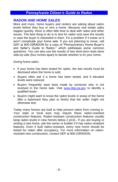## *RADON AND HOME SALES*

More and more, home buyers and renters are asking about radon levels before they buy or rent a home. Because real estate sales happen quickly, there is often little time to deal with radon and other issues. The best thing to do is to test for radon and save the results in case the buyer is interested in them. Fix a problem if it exists so it won't complicate your home sale. If you are planning to move, call DEP at 800-23RADON for a copy of "Pennsylvania's Home Buyer's and Seller's Guide to Radon," which addresses some common questions. You can also use the results of two short-term tests done side-by-side (four inches apart) to decide whether to fix your home.

During home sales:

- If your home has been tested for radon, the test results must be disclosed when the home is sold.
- Buyers often ask if a home has been tested, and if elevated levels were reduced.
- Buyers frequently want tests made by someone who is not involved in the home sale. Visit [www.dep.pa.gov](http://www.dep.pa.gov/) to identify a qualified tester.
- Buyers might want to know the radon levels in areas of the home (like a basement they plan to finish) that the seller might not otherwise test.

Today many homes are built to help prevent radon from coming in. Your state or local area may require these radon-resistant construction features. Radon-resistant construction features usually keep radon levels in new homes below 2 pCi/L. If you are buying or renting a new home, ask the owner or builder if it has radon-resistant features. Even if built radon-resistant, every new home should be tested for radon after occupancy. For more information on radonresistant new construction, contact DEP at 800-23RADON.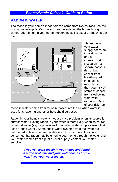## **RADON IN WATER**

The radon in your home's indoor air can come from two sources, the soil or your water supply. Compared to radon entering the home through water, radon entering your home through the soil is usually a much larger risk.



The radon in your water supply poses an inhalation risk and an ingestion risk. Research has shown that your risk of lung cancer from breathing radon in the air is much larger than your risk of stomach cancer from swallowing water with radon in it. Most of your risk from

radon in water comes from radon released into the air when water is used for showering and other household purposes.

Radon in your home's water is not usually a problem when its source is surface water. Having radon in your water is more likely when its source is ground water (e.g., a private well or a public water supply system that uses ground water). Some public water systems treat their water to reduce radon levels before it is delivered to your home. If you are concerned that radon may be entering your home through the water and your water comes from a public water supply, contact your water supplier.

> *If you've tested the air in your home and found a radon problem, and your water comes from a well, have your water tested.*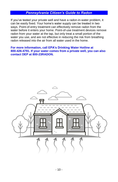If you've tested your private well and have a radon-in-water problem, it can be easily fixed. Your home's water supply can be treated in two ways. Point-of-entry treatment can effectively remove radon from the water before it enters your home. Point-of-use treatment devices remove radon from your water at the tap, but only treat a small portion of the water you use, and are not effective in reducing the risk from breathing radon released into the air from all water used in the home.

#### **For more information, call EPA's Drinking Water Hotline at 800-426-4791. If your water comes from a private well, you can also contact DEP at 800-23RADON.**

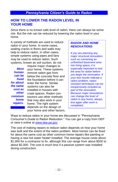## **HOW TO LOWER THE RADON LEVEL IN YOUR HOME**

Since there is no known safe level of radon, there can always be some risk. But the risk can be reduced by lowering the radon level in your home.

A variety of methods are used to reduce radon in your home. In some cases, sealing cracks in floors and walls may help to reduce radon. In other cases, simple systems using pipes and fans may be used to reduce radon. Such systems, known as soil suction, do not

|             | require major changes to     |
|-------------|------------------------------|
| <b>Most</b> | your home. These systems     |
| homes       | remove radon gas from        |
| can be      | below the concrete floor and |
| fixed       | the foundation before it can |
| for about   | enter the home. Similar      |
| the same    | systems can also be          |
| cost as     | installed in houses with     |
| other       | crawl spaces. Radon con-     |
| common      | tractors use other methods   |
| home        | that may also work in your   |
| repairs.    | home. The right system       |
|             | depends on the design of     |
|             | your home and other factors. |

## *RADON AND HOME RENOVATIONS*

*If you are planning any major structural renovation, such as converting an unfinished basement area into living space, it is especially important to test the area for radon before you begin the renovation. If your test results indicate a radon problem, radonresistant techniques can be inexpensively included as part of the renovation. Because major renovations can change the level of radon in any home, always test again after work is completed.*

Ways to reduce radon in your home are discussed in "Pennsylvania Consumer's Guide to Radon Reduction.‖ You can get a copy from DEP or view it online at [www.dep.pa.gov.](http://www.dep.pa.gov/)

The cost of making repairs to reduce radon depends on how your home was built and the extent of the radon problem. Most homes can be fixed for about the same cost as other common home repairs like painting or having a new hot water heater installed. The average house costs about \$1,000 for a contractor to fix, although this can range from about \$500 to about \$2,000. The cost is much less if a passive system was installed during construction.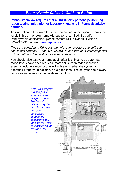#### **Pennsylvania law requires that all third-party persons performing radon testing, mitigation or laboratory analysis in Pennsylvania be certified.**

An exemption to this law allows the homeowner or occupant to lower the levels in his or her own home without being certified. To verify Pennsylvania certification, please contact DEP's Radon Division at 800-237-2366 or visit [www.dep.pa.gov.](http://www.dep.pa.gov/)

*If you are considering fixing your home's radon problem yourself, you should first contact DEP at 800-23RADON for a free do-it-yourself packet of information to help with your system installation.*

You should also test your home again after it is fixed to be sure that radon levels have been reduced. Most soil suction radon reduction systems include a monitor that will indicate whether the system is operating properly. In addition, it's a good idea to retest your home every two years to be sure radon levels remain low.

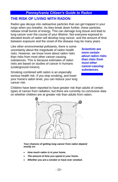## **THE RISK OF LIVING WITH RADON**

Radon gas decays into radioactive particles that can get trapped in your lungs when you breathe. As they break down further, these particles release small bursts of energy. This can damage lung tissue and lead to lung cancer over the course of your lifetime. Not everyone exposed to elevated levels of radon will develop lung cancer, and the amount of time between exposure and the onset of the disease may be many years.

Like other environmental pollutants, there is some uncertainty about the magnitude of radon health risks. However, we know more about radon risks than risks from most other cancer-causing substances. This is because estimates of radon risks are based on studies of cancer in humans (underground miners).

*Scientists are more certain about radon risks than risks from most other cancer-causing substances.*

Smoking combined with radon is an especially serious health risk. If you stop smoking, and lower your home's radon level, you can reduce your lung cancer risk.

Children have been reported to have greater risk than adults of certain types of cancer from radiation, but there are currently no conclusive data on whether children are at greater risk than adults from radon.



*Your chances of getting lung cancer from radon depend mostly on:*

- *How much radon is in your home.*
- *The amount of time you spend in your home.*
- *Whether you are a smoker or have ever smoked.*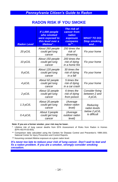## **RADON RISK IF YOU SMOKE**

| <b>Radon Level</b> | If 1,000 people<br>who smoked<br>were exposed to<br>this level over a<br>lifetime* | The risk of<br>cancer from<br>radon<br>exposure<br>compares<br>$\overline{\mathfrak{c}^{\bullet}}$ | <b>WHAT TO DO:</b><br><b>Stop smoking</b><br>and |  |
|--------------------|------------------------------------------------------------------------------------|----------------------------------------------------------------------------------------------------|--------------------------------------------------|--|
| 20 pCi/L           | About 260 people<br>could get lung<br>cancer                                       | 250 times the<br>risk of<br>drowning                                                               | Fix your home                                    |  |
| 10 pCi/L           | About 150 people<br>could get lung<br>cancer                                       | 200 times the<br>risk of dying<br>in a home fire                                                   | Fix your home                                    |  |
| 8 pCi/L            | About 120 people<br>could get lung<br>cancer                                       | 30 times the<br>risk of dying<br>in a fall                                                         | Fix your home                                    |  |
| 4 pCi/L            | About 62 people<br>could get lung<br>cancer                                        | 5 times the<br>risk of dying<br>in a car crash                                                     | Fix your home                                    |  |
| 2 pCi/L            | About 32 people<br>could get lung<br>cancer                                        | 6 times the<br>risk of dying<br>from poison                                                        | Consider fixing<br>between 2 and<br>4 pCi/L      |  |
| 1.3 $pCi/L$        | About 20 people<br>could get lung<br>cancer                                        | (Average<br>indoor radon<br>level)                                                                 | Reducing<br>radon levels                         |  |
| $0.4$ pCi/L        | About 3 people<br>could get lung<br>cancer                                         | (Average<br>outdoor radon<br>level)                                                                | below 2 pCi/L<br>is difficult                    |  |

#### **Note: If you are a former smoker, your risk may be lower.**

- \* Lifetime risk of lung cancer deaths from EPA Assessment of Risks from Radon in Homes (EPA 402-R-03-003).
- \*\* Comparison data calculated using the Centers for Disease Control and Prevention's 1999-2001 National Center for Injury Prevention and Control Reports.
- \*\*\* Assuming constant lifetime exposure at a given radon level.

*It's never too late to reduce your risk of lung cancer. Don't wait to test and fix a radon problem. If you are a smoker, strongly consider smoking cessation.*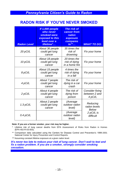## **RADON RISK IF YOU'VE NEVER SMOKED**

| <b>Radon Level</b> | If 1,000 people<br>who never<br>smoked were<br>exposed to this<br>level over a<br>lifetime* | <b>The risk of</b><br>cancer from<br>radon<br>exposure<br>compares<br>$to^{\ast\ast}$ | <b>WHAT TO DO:</b>                          |  |
|--------------------|---------------------------------------------------------------------------------------------|---------------------------------------------------------------------------------------|---------------------------------------------|--|
| 20 pCi/L           | About 36 people<br>could get lung<br>cancer                                                 | 35 times the<br>risk of<br>drowning                                                   | Fix your home                               |  |
| 10 pCi/L           | About 18 people<br>could get lung<br>cancer                                                 | 20 times the<br>risk of dying<br>in a home fire                                       | Fix your home                               |  |
| 8 pCi/L            | About 15 people<br>could get lung<br>cancer                                                 | 4 times the<br>risk of dying<br>in a fall                                             | Fix your home                               |  |
| 4 pCi/L            | About 7 people<br>could get lung<br>cancer                                                  | The risk of<br>dying in a car<br>crash                                                | Fix your home                               |  |
| 2 pCi/L            | About 4 people<br>could get lung<br>cancer                                                  | The risk of<br>dying from<br>poison                                                   | Consider fixing<br>between 2 and<br>4 pCi/L |  |
| 1.3 $pCi/L$        | About 2 people<br>could get lung<br>cancer                                                  | (Average<br>outdoor radon<br>level)                                                   | Reducing<br>radon levels<br>Below           |  |
| 0.4 pCi/L          |                                                                                             | (Average<br>outdoor radon<br>level)                                                   | 2 pCi/L is<br>difficult                     |  |

#### **Note: If you are a former smoker, your risk may be higher.**

- \* Lifetime risk of lung cancer deaths from EPA Assessment of Risks from Radon in Homes (EPA 402-R-03-003).
- \*\* Comparison data calculated using the Centers for Disease Control and Prevention's 1999-2001 National Center for Injury Prevention and Control Reports.
- \*\*\* Assuming constant lifetime exposure at a given radon level.

*It's never too late to reduce your risk of lung cancer. Don't wait to test and fix a radon problem. If you are a smoker, strongly consider smoking cessation.*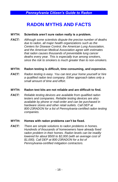## **RADON MYTHS AND FACTS**

### **MYTH: Scientists aren't sure radon really is a problem.**

*FACT: Although some scientists dispute the precise number of deaths due to radon, all major health organizations such as the Centers for Disease Control, the American Lung Association, and the American Medical Association agree with estimates that radon causes thousands of preventable lung cancer deaths every year. This is especially true among smokers, since the risk to smokers is much greater than to non-smokers.*

#### **MYTH: Radon testing is difficult, time consuming, and expensive.**

*FACT: Radon testing is easy. You can test your home yourself or hire a qualified radon test company. Either approach takes only a small amount of time and effort.*

#### **MYTH: Radon test kits are not reliable and are difficult to find.**

*FACT: Reliable testing devices are available from qualified radon testers and companies. Reliable testing devices are also available by phone or mail-order and can be purchased in hardware stores and other retail outlets. Call DEP at 800-23RADON for a list of Pennsylvania-certified radon testing companies.*

### **MYTH: Homes with radon problems can't be fixed.**

*FACT: There are simple solutions to radon problems in homes. Hundreds of thousands of homeowners have already fixed radon problem in their homes. Radon levels can be readily lowered for about \$500 to \$2,000 (with an average cost of \$1,000). Call DEP at 800-23RADON for a list of Pennsylvania-certified mitigation contractors.*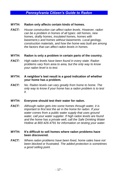#### **MYTH: Radon only affects certain kinds of homes.**

*FACT: House construction can affect radon levels. However, radon can be a problem in homes of all types: old homes, new homes, drafty homes, insulated homes, homes with basement,s and homes without basements. Local geology, construction materials, and how the home was built are among the factors that can affect radon levels in homes.*

#### **MYTH: Radon is only a problem in certain parts of the country.**

*FACT: High radon levels have been found in every state. Radon problems vary from area to area, but the only way to know your radon level is to test.*

#### **MYTH: A neighbor's test result is a good indication of whether your home has a problem.**

*FACT: No. Radon levels can vary greatly from home to home. The only way to know if your home has a radon problem is to test it.*

#### **MYTH: Everyone should test their water for radon.**

*FACT: Although radon gets into some homes through water, it is important to first test the air in the home for radon. If your water comes from a public water supply that uses ground water, call your water supplier. If high radon levels are found and the home has a private well, call the Safe Drinking Water Hotline at 800-426-4791 for information on testing your water.*

#### **MYTH: It's difficult to sell homes where radon problems have been discovered.**

*FACT: Where radon problems have been fixed, home sales have not been blocked or frustrated. The added protection is sometimes a good selling point.*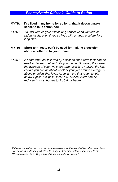- **MYTH: I've lived in my home for so long, that it doesn't make sense to take action now.**
- *FACT: You will reduce your risk of lung cancer when you reduce radon levels, even if you've lived with a radon problem for a long time.*

#### **MYTH: Short-term tests can't be used for making a decision about whether to fix your home.**

*FACT: A short-term test followed by a second short-term test\* can be used to decide whether to fix your home. However, the closer the average of your two short-term tests is to 4 pCi/L, the less certain you can be about whether your year-round average is above or below that level. Keep in mind that radon levels below 4 pCi/L still pose some risk. Radon levels can be reduced in most homes to 2 pCi/L or below.*

*<sup>\*</sup>If the radon test is part of a real estate transaction, the result of two short-term tests can be used in deciding whether to mitigate. For more information, refer to the "Pennsylvania Home Buyer's and Seller's Guide to Radon."*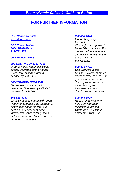## **FOR FURTHER INFORMATION**

#### *DEP Radon website [www.dep.pa.gov](http://www.dep.pa.gov/)*

#### *DEP Radon Hotline 800-23RADON or 717-783-3594*

#### *OTHER HOTLINES*

#### *800-SOS-RADON (767-7236)*

*Order low-cost radon test kits by phone. Operated by the Kansas State University (K-State) in partnership with EPA.*

#### *800-55RADON (557-2366)*

*For live help with your radon questions. Operated by K-State in partnership with EPA.*

#### *866-528-3187*

*Línea Directa de Información sobre Radón en Español. Hay operadores disponibles desde las 9:00 a.m. hast las 5:00 p.m. para darle información sobre radón y como ordenar un kit para hacer la prueba de radón en su hogar.*

#### *800-438-4318*

*Indoor Air Quality Information Clearinghouse, operated by an EPA contractor. For general radon and indoor air quality information and copies of EPA publications.*

#### *800-426-4791*

*Safe Drinking Water Hotline, privately operated under contract to EPA. For general information on drinking water, radon in water, testing and treatment, and radon drinking water standards.*

#### *800-644-6999*

*Radon Fix-It Hotline for help with your radon mitigation questions. Operated by K-State in partnership with EPA.*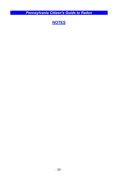**NOTES**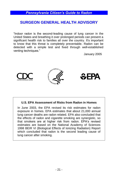## **SURGEON GENERAL HEALTH ADVISORY**

"Indoor radon is the second-leading cause of lung cancer in the United States and breathing it over prolonged periods can present a significant health risk to families all over the country. It's important to know that this threat is completely preventable. Radon can be detected with a simple test and fixed through well-established venting techniques."

January 2005







#### **U.S. EPA Assessment of Risks from Radon in Homes**

In June 2003, the EPA revised its risk estimates for radon exposure in homes. EPA estimates that about 21,000 annual lung cancer deaths are radon related. EPA also concluded that the effects of radon and cigarette smoking are synergistic, so that smokers are at higher risk from radon. EPA's revised estimates are based on the National Academy of Sciences 1998 BEIR VI (Biological Effects of Ionizing Radiation) Report which concluded that radon is the second leading cause of lung cancer after smoking.